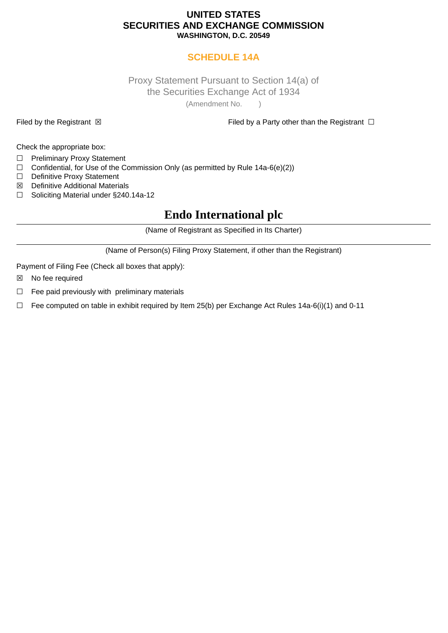### **UNITED STATES SECURITIES AND EXCHANGE COMMISSION WASHINGTON, D.C. 20549**

## **SCHEDULE 14A**

### Proxy Statement Pursuant to Section 14(a) of the Securities Exchange Act of 1934 (Amendment No. )

Filed by the Registrant ⊠ Filed by a Party other than the Registrant □

Check the appropriate box:

- ☐ Preliminary Proxy Statement
- $\Box$  Confidential, for Use of the Commission Only (as permitted by Rule 14a-6(e)(2))
- ☐ Definitive Proxy Statement
- ☒ Definitive Additional Materials
- ☐ Soliciting Material under §240.14a-12

# **Endo International plc**

(Name of Registrant as Specified in Its Charter)

(Name of Person(s) Filing Proxy Statement, if other than the Registrant)

Payment of Filing Fee (Check all boxes that apply):

- ☒ No fee required
- $\Box$  Fee paid previously with preliminary materials
- $\Box$  Fee computed on table in exhibit required by Item 25(b) per Exchange Act Rules 14a-6(i)(1) and 0-11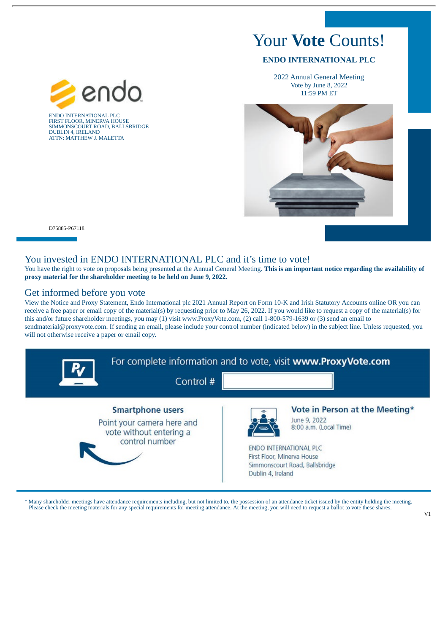# Your **Vote** Counts!

### **ENDO INTERNATIONAL PLC**

2022 Annual General Meeting Vote by June 8, 2022 11:59 PM ET



D75885-P67118

#### You invested in ENDO INTERNATIONAL PLC and it's time to vote!

You have the right to vote on proposals being presented at the Annual General Meeting. **This is an important notice regarding the availability of proxy material for the shareholder meeting to be held on June 9, 2022.**

### Get informed before you vote

ENDO INTERNATIONAL PLC FIRST FLOOR, MINERVA HOUSE SIMMONSCOURT ROAD, BALLSBRIDGE DUBLIN 4, IRELAND ATTN: MATTHEW J. MALETTA

endi

View the Notice and Proxy Statement, Endo International plc 2021 Annual Report on Form 10-K and Irish Statutory Accounts online OR you can receive a free paper or email copy of the material(s) by requesting prior to May 26, 2022. If you would like to request a copy of the material(s) for this and/or future shareholder meetings, you may (1) visit www.ProxyVote.com, (2) call 1-800-579-1639 or (3) send an email to sendmaterial@proxyvote.com. If sending an email, please include your control number (indicated below) in the subject line. Unless requested, you will not otherwise receive a paper or email copy.



\* Many shareholder meetings have attendance requirements including, but not limited to, the possession of an attendance ticket issued by the entity holding the meeting. Please check the meeting materials for any special requirements for meeting attendance. At the meeting, you will need to request a ballot to vote these shares.